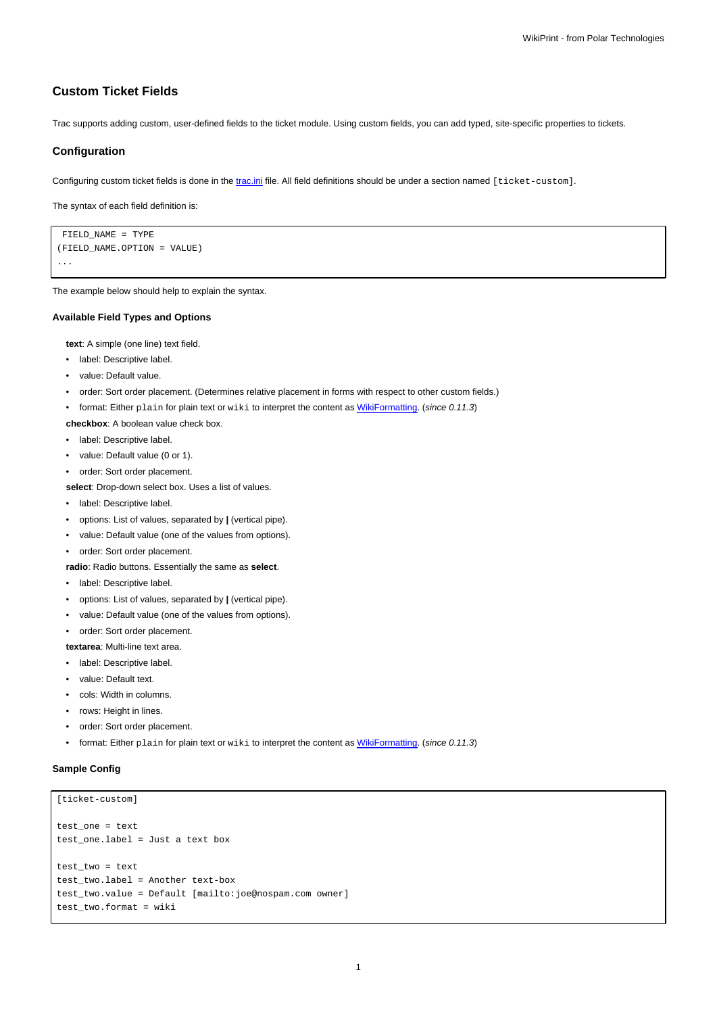# **Custom Ticket Fields**

Trac supports adding custom, user-defined fields to the ticket module. Using custom fields, you can add typed, site-specific properties to tickets.

## **Configuration**

Configuring custom ticket fields is done in the [trac.ini](https://meteo.unican.es/trac/wiki/TracIni) file. All field definitions should be under a section named [ticket-custom].

The syntax of each field definition is:

```
FIELD_NAME = TYPE
(FIELD_NAME.OPTION = VALUE)
...
```
The example below should help to explain the syntax.

#### **Available Field Types and Options**

**text**: A simple (one line) text field.

- label: Descriptive label.
- value: Default value.
- order: Sort order placement. (Determines relative placement in forms with respect to other custom fields.)
- format: Either plain for plain text or wiki to interpret the content as [WikiFormatting.](https://meteo.unican.es/trac/wiki/WikiFormatting) (since 0.11.3)
- **checkbox**: A boolean value check box.
- label: Descriptive label.
- value: Default value (0 or 1).
- order: Sort order placement.
- **select**: Drop-down select box. Uses a list of values.
- label: Descriptive label.
- options: List of values, separated by **|** (vertical pipe).
- value: Default value (one of the values from options).
- order: Sort order placement.
- **radio**: Radio buttons. Essentially the same as **select**.
- label: Descriptive label.
- options: List of values, separated by **|** (vertical pipe).
- value: Default value (one of the values from options).
- order: Sort order placement.

**textarea**: Multi-line text area.

- label: Descriptive label.
- value: Default text.
- cols: Width in columns.
- rows: Height in lines.
- order: Sort order placement.
- format: Either plain for plain text or wiki to interpret the content as [WikiFormatting.](https://meteo.unican.es/trac/wiki/WikiFormatting) (since 0.11.3)

## **Sample Config**

```
[ticket-custom]
test_one = text
test_one.label = Just a text box
test two = texttest_two.label = Another text-box
test_two.value = Default [mailto:joe@nospam.com owner]
test_two.format = wiki
```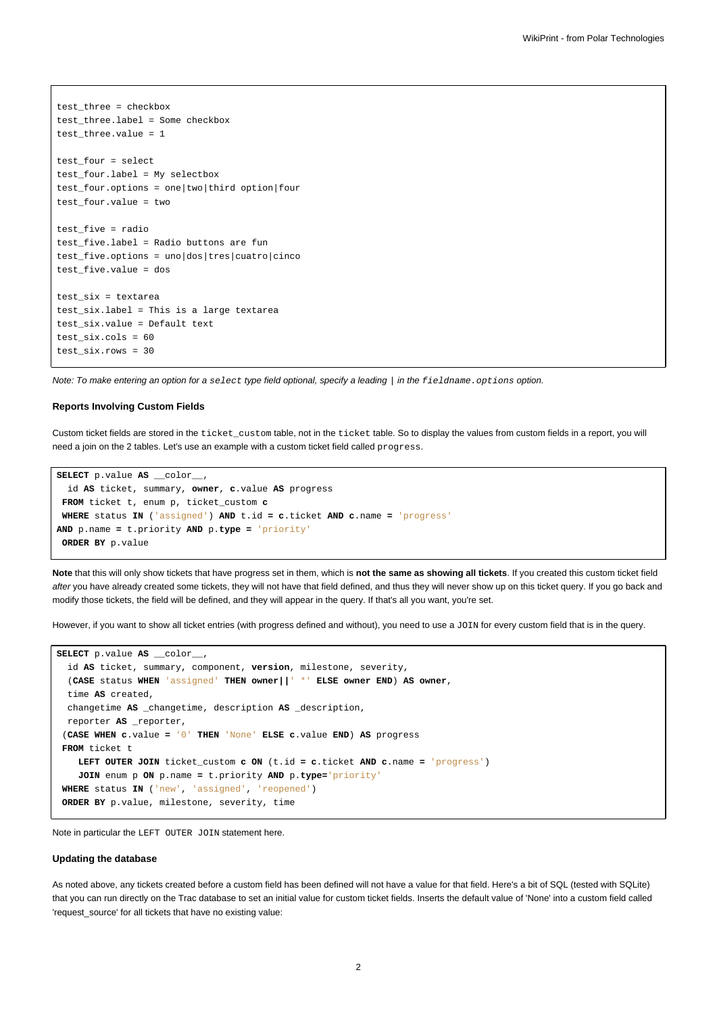```
test_three = checkbox
test_three.label = Some checkbox
test_three.value = 1
test_four = select
test_four.label = My selectbox
test_four.options = one|two|third option|four
test_four.value = two
test_five = radio
test_five.label = Radio buttons are fun
test_five.options = uno|dos|tres|cuatro|cinco
test_five.value = dos
test_six = textarea
test_six.label = This is a large textarea
test_six.value = Default text
test_six.cols = 60
test_six.rows = 30
```
Note: To make entering an option for a select type field optional, specify a leading | in the fieldname.options option.

### **Reports Involving Custom Fields**

Custom ticket fields are stored in the ticket custom table, not in the ticket table. So to display the values from custom fields in a report, you will need a join on the 2 tables. Let's use an example with a custom ticket field called progress.

```
SELECT p.value AS __color__,
  id AS ticket, summary, owner, c.value AS progress
 FROM ticket t, enum p, ticket_custom c
 WHERE status IN ('assigned') AND t.id = c.ticket AND c.name = 'progress'
AND p.name = t.priority AND p.type = 'priority'
 ORDER BY p.value
```
**Note** that this will only show tickets that have progress set in them, which is **not the same as showing all tickets**. If you created this custom ticket field after you have already created some tickets, they will not have that field defined, and thus they will never show up on this ticket query. If you go back and modify those tickets, the field will be defined, and they will appear in the query. If that's all you want, you're set.

However, if you want to show all ticket entries (with progress defined and without), you need to use a JOIN for every custom field that is in the query.

```
SELECT p.value AS __color__,
 id AS ticket, summary, component, version, milestone, severity,
 (CASE status WHEN 'assigned' THEN owner||' *' ELSE owner END) AS owner,
 time AS created,
 changetime AS _changetime, description AS _description,
 reporter AS _reporter,
 (CASE WHEN c.value = '0' THEN 'None' ELSE c.value END) AS progress
FROM ticket t
   LEFT OUTER JOIN ticket_custom c ON (t.id = c.ticket AND c.name = 'progress')
   JOIN enum p ON p.name = t.priority AND p.type='priority'
WHERE status IN ('new', 'assigned', 'reopened')
ORDER BY p.value, milestone, severity, time
```
Note in particular the LEFT OUTER JOIN statement here.

#### **Updating the database**

As noted above, any tickets created before a custom field has been defined will not have a value for that field. Here's a bit of SQL (tested with SQLite) that you can run directly on the Trac database to set an initial value for custom ticket fields. Inserts the default value of 'None' into a custom field called 'request\_source' for all tickets that have no existing value: